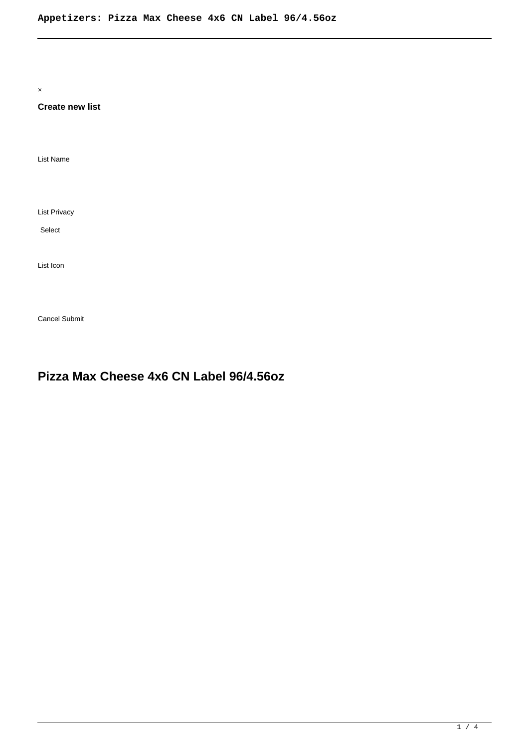×

## **Create new list**

List Name

List Privacy

Select

List Icon

Cancel Submit

# **Pizza Max Cheese 4x6 CN Label 96/4.56oz**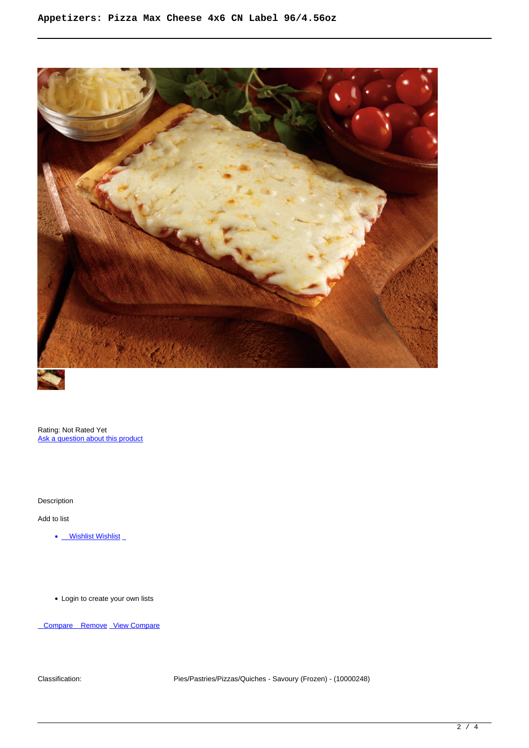

Rating: Not Rated Yet [Ask a question about this product](https://summitenterprises.net/index.php?option=com_virtuemart&view=productdetails&task=askquestion&virtuemart_product_id=533&virtuemart_category_id=129&tmpl=component)

Description

Add to list

• Wishlist Wishlist

Login to create your own lists

Compare Remove [View Compare](/component/vm2wishlists/compare)

Classification: Pies/Pastries/Pizzas/Quiches - Savoury (Frozen) - (10000248)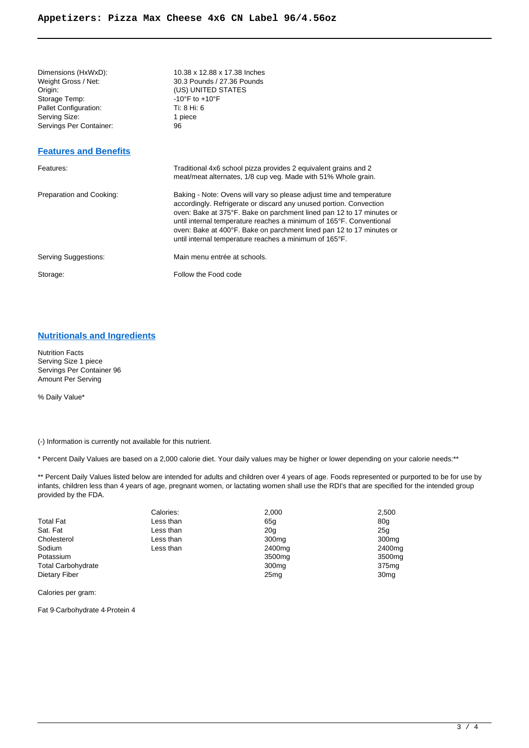Storage Temp:  $-10^{\circ}$ F to +10<sup>°</sup>F<br>Pallet Configuration:  $\overline{1}$  Ti: 8 Hi: 6 Pallet Configuration: Serving Size: 1<br>
Servings Per Container: 1 96 Servings Per Container:

# Dimensions (HxWxD): 10.38 x 12.88 x 17.38 Inches<br>Weight Gross / Net: 30.3 Pounds / 27.36 Pounds Weight Gross / Net: 30.3 Pounds / 27.36 Pounds<br>Origin: (US) UNITED STATES (US) UNITED STATES

### **[Features and Benefits](https://dotfoods.syncpdi.com/sync_pdi/servlet/ItemDynSpec?InstanceID=9c6e678cdec83538c880e1b567dd3ac9&ID=dotfoods&DI=446087&USER=Summit_Enterprises [AT] yahoo [DOT] com#marketing)**

| Features:                | Traditional 4x6 school pizza provides 2 equivalent grains and 2<br>meat/meat alternates, 1/8 cup veg. Made with 51% Whole grain.                                                                                                                                                                                                                                                                                            |
|--------------------------|-----------------------------------------------------------------------------------------------------------------------------------------------------------------------------------------------------------------------------------------------------------------------------------------------------------------------------------------------------------------------------------------------------------------------------|
| Preparation and Cooking: | Baking - Note: Ovens will vary so please adjust time and temperature<br>accordingly. Refrigerate or discard any unused portion. Convection<br>oven: Bake at 375°F. Bake on parchment lined pan 12 to 17 minutes or<br>until internal temperature reaches a minimum of 165°F. Conventional<br>oven: Bake at 400°F. Bake on parchment lined pan 12 to 17 minutes or<br>until internal temperature reaches a minimum of 165°F. |
| Serving Suggestions:     | Main menu entrée at schools.                                                                                                                                                                                                                                                                                                                                                                                                |
| Storage:                 | Follow the Food code                                                                                                                                                                                                                                                                                                                                                                                                        |

#### **[Nutritionals and Ingredients](https://dotfoods.syncpdi.com/sync_pdi/servlet/ItemDynSpec?InstanceID=9c6e678cdec83538c880e1b567dd3ac9&ID=dotfoods&DI=446087&USER=Summit_Enterprises [AT] yahoo [DOT] com#nutrition)**

Nutrition Facts Serving Size 1 piece Servings Per Container 96 Amount Per Serving

% Daily Value\*

(-) Information is currently not available for this nutrient.

\* Percent Daily Values are based on a 2,000 calorie diet. Your daily values may be higher or lower depending on your calorie needs:\*\*

\*\* Percent Daily Values listed below are intended for adults and children over 4 years of age. Foods represented or purported to be for use by infants, children less than 4 years of age, pregnant women, or lactating women shall use the RDI's that are specified for the intended group provided by the FDA.

| Calories: | 2,000              | 2,500              |
|-----------|--------------------|--------------------|
| Less than | 65g                | 80a                |
| Less than | 20 <sub>g</sub>    | 25 <sub>q</sub>    |
| Less than | 300 <sub>mg</sub>  | 300 <sub>mq</sub>  |
| Less than | 2400 <sub>mq</sub> | 2400mg             |
|           | 3500 <sub>mq</sub> | 3500 <sub>mg</sub> |
|           | 300 <sub>mq</sub>  | 375 <sub>mg</sub>  |
|           | 25 <sub>mq</sub>   | 30 <sub>mq</sub>   |
|           |                    |                    |

Calories per gram:

Fat 9·Carbohydrate 4·Protein 4